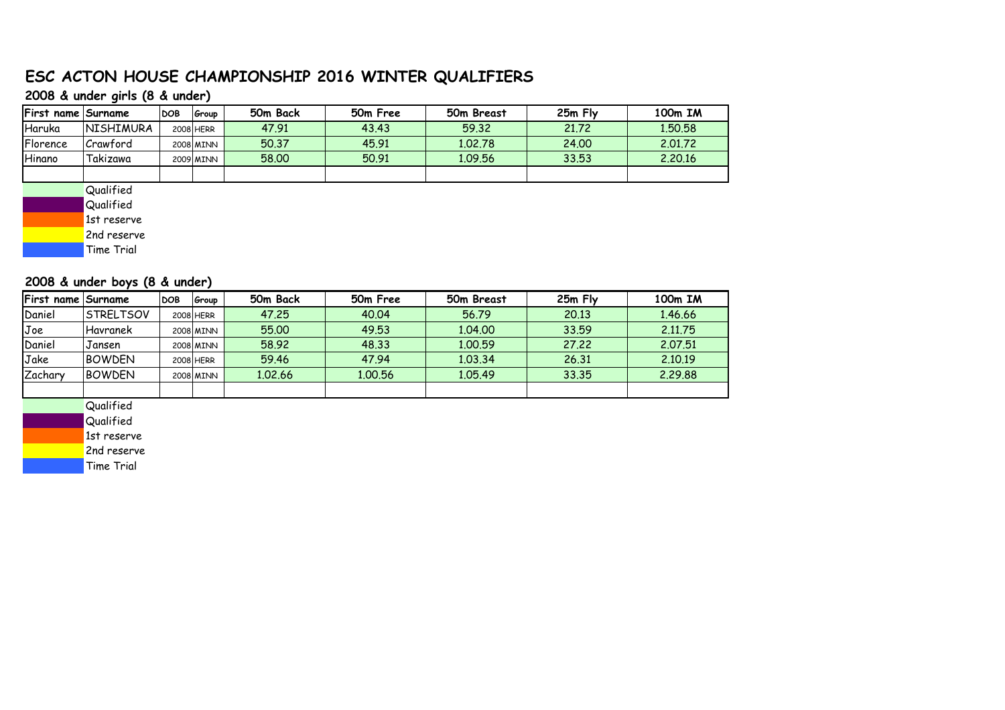## **ESC ACTON HOUSE CHAMPIONSHIP 2016 WINTER QUALIFIERS**

#### **2008 & under girls (8 & under)**

| First name Surname |                  | <b>DOB</b> | Group     | 50 <sub>m</sub> Back | 50m Free | 50m Breast | 25m Fly | 100 <sub>m</sub> IM |
|--------------------|------------------|------------|-----------|----------------------|----------|------------|---------|---------------------|
| Haruka             | <b>NISHIMURA</b> |            | 2008 HERR | 47.91                | 43.43    | 59.32      | 21.72   | 1.50.58             |
| Florence           | Crawford         |            | 2008 MINN | 50.37                | 45.91    | 1.02.78    | 24.00   | 2.01.72             |
| Hinano             | Takizawa         |            | 2009 MINN | 58,00                | 50.91    | 1.09.56    | 33.53   | 2.20.16             |
|                    |                  |            |           |                      |          |            |         |                     |
|                    | Qualified        |            |           |                      |          |            |         |                     |

**Qualified** 

1st reserve

2nd reserve

Time Trial

#### **2008 & under boys (8 & under)**

| <b>First name Surname</b> |                   | <b>DOB</b> | Group     | 50m Back | 50m Free | 50m Breast | $25m$ Fly | 100 <sub>m</sub> IM |
|---------------------------|-------------------|------------|-----------|----------|----------|------------|-----------|---------------------|
| Daniel                    | <b>ISTRELTSOV</b> |            | 2008 HERR | 47.25    | 40.04    | 56.79      | 20.13     | 1.46.66             |
| Joe                       | l Havranek        |            | 2008 MINN | 55.00    | 49.53    | 1.04.00    | 33.59     | 2.11.75             |
| Daniel                    | Jansen            |            | 2008 MINN | 58.92    | 48.33    | 1.00.59    | 27.22     | 2.07.51             |
| Jake                      | <b>BOWDEN</b>     |            | 2008 HERR | 59.46    | 47.94    | 1.03.34    | 26.31     | 2.10.19             |
| Zachary                   | <b>BOWDEN</b>     |            | 2008 MINN | 1.02.66  | 1.00.56  | 1.05.49    | 33.35     | 2.29.88             |
|                           |                   |            |           |          |          |            |           |                     |

**Qualified** 

**Qualified** 

1st reserve

2nd reserve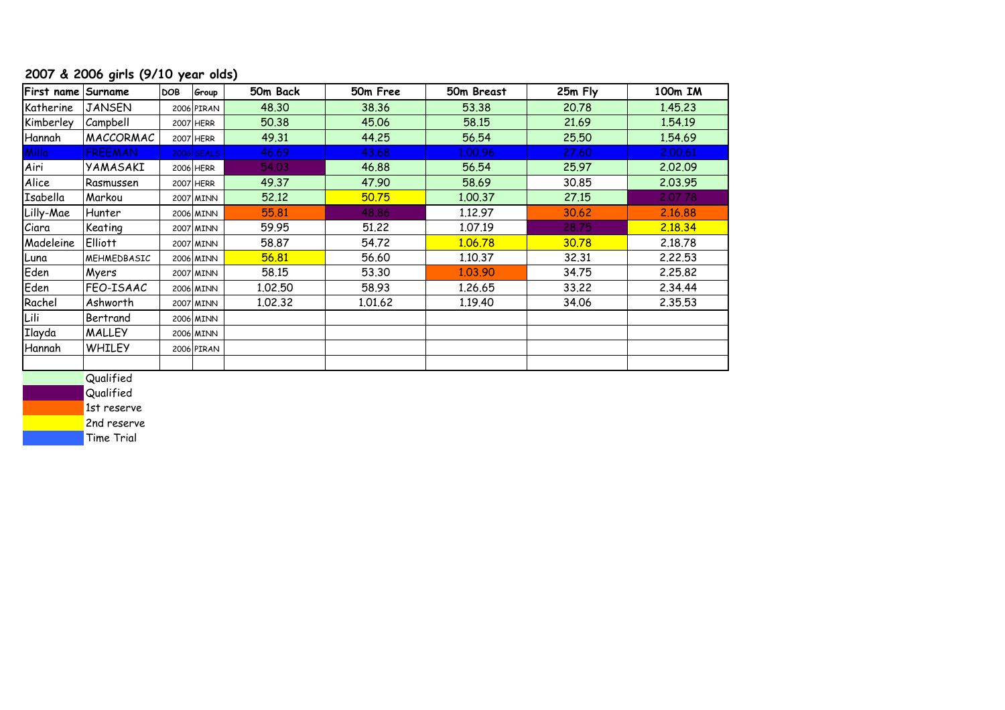## **2007 & 2006 girls (9/10 year olds)**

| First name Surname |                | <b>DOB</b> | Group        | 50m Back | 50m Free | 50m Breast | 25m Fly | 100m IM |
|--------------------|----------------|------------|--------------|----------|----------|------------|---------|---------|
| Katherine          | <b>JANSEN</b>  |            | 2006 PIRAN   | 48.30    | 38.36    | 53.38      | 20.78   | 1.45.23 |
| Kimberley          | Campbell       |            | 2007 HERR    | 50.38    | 45.06    | 58.15      | 21.69   | 1.54.19 |
| Hannah             | MACCORMAC      |            | 2007 HERR    | 49.31    | 44.25    | 56.54      | 25.50   | 1.54.69 |
| Milla              | <b>FREEMAN</b> |            | $2006$ SEALS | 46.69    | 43.68    | 1.00.96    | 27,60   | 2.00.61 |
| Airi               | YAMASAKI       |            | 2006 HERR    | 54.03    | 46.88    | 56.54      | 25.97   | 2.02.09 |
| Alice              | Rasmussen      |            | 2007 HERR    | 49.37    | 47.90    | 58.69      | 30.85   | 2.03.95 |
| Isabella           | Markou         |            | 2007 MINN    | 52.12    | 50.75    | 1,00,37    | 27.15   | 2.07.78 |
| Lilly-Mae          | Hunter         |            | 2006 MINN    | 55.81    | 48.86    | 1.12.97    | 30.62   | 2.16.88 |
| Ciara              | Keating        |            | 2007 MINN    | 59.95    | 51.22    | 1.07.19    | 28,75   | 2.18.34 |
| Madeleine          | <b>Elliott</b> |            | 2007 MINN    | 58.87    | 54.72    | 1.06.78    | 30.78   | 2.18.78 |
| Luna               | MEHMEDBASIC    |            | 2006 MINN    | 56.81    | 56.60    | 1.10.37    | 32.31   | 2.22.53 |
| Eden               | Myers          |            | 2007 MINN    | 58.15    | 53.30    | 1.03.90    | 34.75   | 2,25.82 |
| Eden               | FEO-ISAAC      |            | 2006 MINN    | 1.02.50  | 58.93    | 1.26.65    | 33.22   | 2.34.44 |
| Rachel             | Ashworth       |            | 2007 MINN    | 1.02.32  | 1,01,62  | 1.19.40    | 34.06   | 2.35.53 |
| Lili               | Bertrand       |            | 2006 MINN    |          |          |            |         |         |
| Ilayda             | <b>MALLEY</b>  |            | 2006 MINN    |          |          |            |         |         |
| Hannah             | <b>WHILEY</b>  |            | 2006 PIRAN   |          |          |            |         |         |
|                    |                |            |              |          |          |            |         |         |

**Qualified** 

**Qualified** 

1st reserve

2nd reserve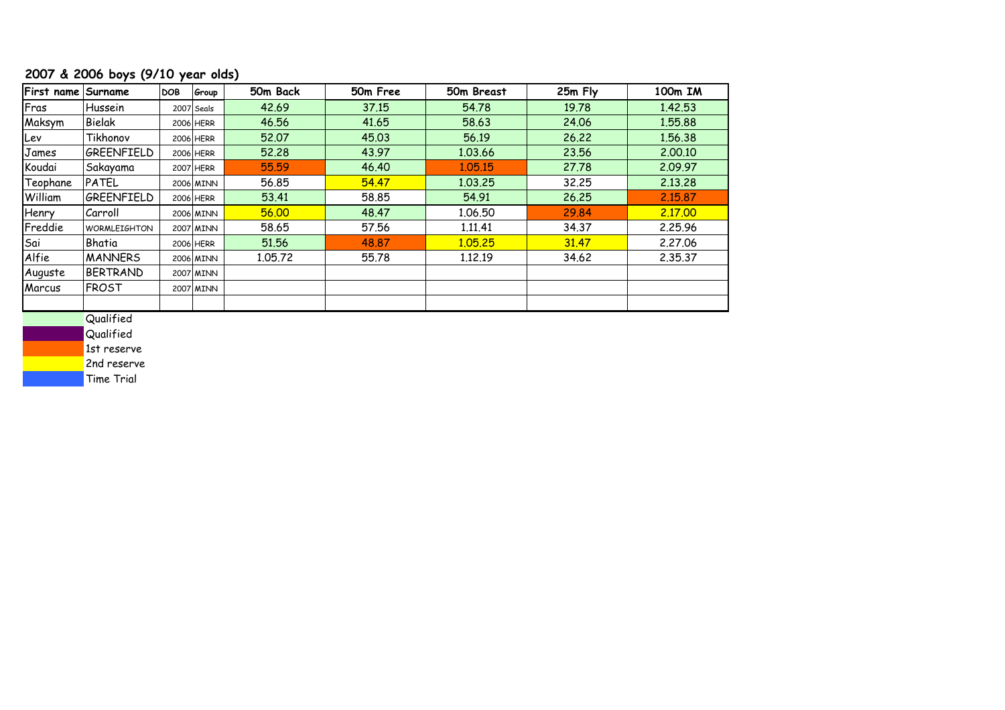## **2007 & 2006 boys (9/10 year olds)**

| First name Surname |                       | <b>DOB</b> | Group      | 50m Back | 50m Free | 50m Breast | 25m Fly | 100m IM |
|--------------------|-----------------------|------------|------------|----------|----------|------------|---------|---------|
| Fras               | Hussein               |            | 2007 Seals | 42.69    | 37.15    | 54.78      | 19.78   | 1.42.53 |
| Maksym             | Bielak                |            | 2006 HERR  | 46.56    | 41.65    | 58.63      | 24.06   | 1.55.88 |
| Lev                | Tikhonov              |            | 2006 HERR  | 52.07    | 45.03    | 56.19      | 26.22   | 1.56.38 |
| James              | GREENFIELD            |            | 2006 HERR  | 52,28    | 43.97    | 1.03.66    | 23.56   | 2.00.10 |
| Koudai             | Sakayama              |            | 2007 HERR  | 55.59    | 46.40    | 1.05.15    | 27.78   | 2.09.97 |
| Teophane           | <b>PATEL</b>          |            | 2006 MINN  | 56.85    | 54,47    | 1.03.25    | 32.25   | 2.13.28 |
| William            | GREENFIELD            |            | 2006 HERR  | 53.41    | 58.85    | 54.91      | 26.25   | 2.15.87 |
| Henry              | Carroll               |            | 2006 MINN  | 56.00    | 48.47    | 1.06.50    | 29.84   | 2.17.00 |
| Freddie            | <b>WORMLEIGHTON</b>   |            | 2007 MINN  | 58.65    | 57.56    | 1.11.41    | 34.37   | 2,25,96 |
| Sai                | Bhatia                |            | 2006 HERR  | 51.56    | 48.87    | 1.05.25    | 31.47   | 2,27,06 |
| Alfie              | <b>MANNERS</b>        |            | 2006 MINN  | 1,05,72  | 55.78    | 1.12.19    | 34.62   | 2.35.37 |
| Auguste            | BERTRAND              |            | 2007 MINN  |          |          |            |         |         |
| Marcus             | <b>FROST</b>          |            | 2007 MINN  |          |          |            |         |         |
|                    | $Q_{\text{total}}(t)$ |            |            |          |          |            |         |         |

Qualified

**Qualified** 

1st reserve

2nd reserve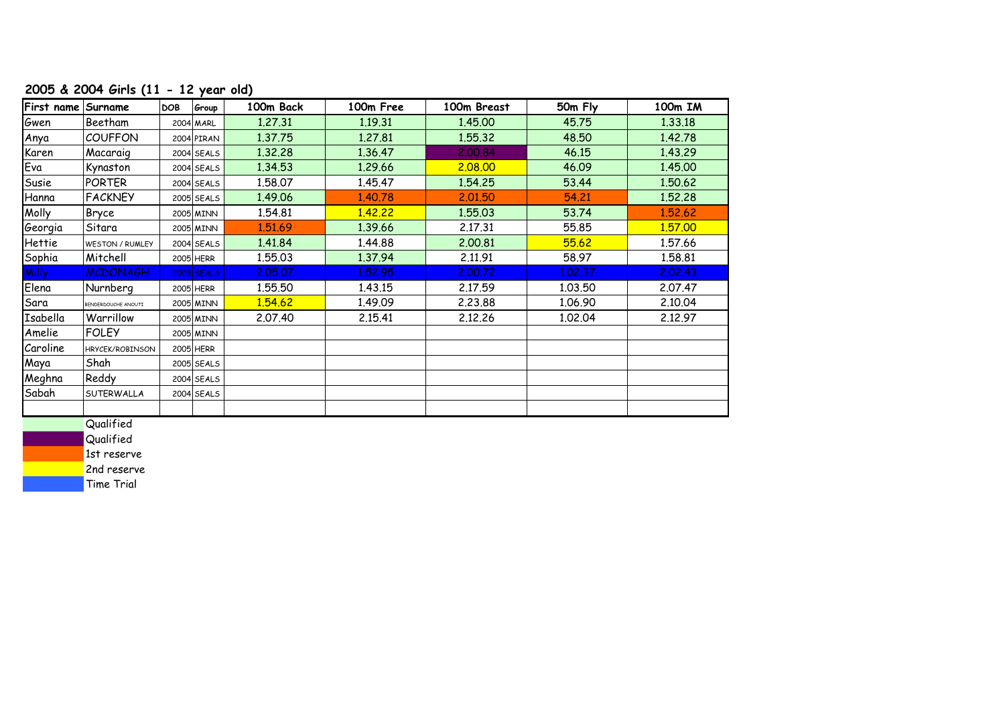## **2005 & 2004 Girls (11 - 12 year old)**

| First name Surname |                        | <b>DOB</b> | Group        | 100m Back | 100m Free | 100m Breast | 50m Fly | 100m IM |
|--------------------|------------------------|------------|--------------|-----------|-----------|-------------|---------|---------|
| Gwen               | Beetham                |            | 2004 MARL    | 1.27.31   | 1.19.31   | 1.45.00     | 45.75   | 1.33.18 |
| Anya               | <b>COUFFON</b>         |            | 2004 PIRAN   | 1.37.75   | 1.27.81   | 1.55.32     | 48.50   | 1.42.78 |
| Karen              | Macaraig               |            | $2004$ SEALS | 1.32.28   | 1.36.47   | 2,00,84     | 46.15   | 1.43.29 |
| Eva                | Kynaston               |            | $2004$ SEALS | 1.34.53   | 1.29.66   | 2.08.00     | 46.09   | 1.45.00 |
| Susie              | <b>PORTER</b>          |            | $2004$ SEALS | 1.58.07   | 1.45.47   | 1.54.25     | 53.44   | 1.50.62 |
| Hanna              | <b>FACKNEY</b>         |            | 2005 SEALS   | 1.49.06   | 1.40.78   | 2.01.50     | 54.21   | 1.52.28 |
| Molly              | Bryce                  |            | 2005 MINN    | 1.54.81   | 1,42,22   | 1.55.03     | 53.74   | 1.52.62 |
| Georgia            | Sitara                 |            | 2005 MINN    | 1.51.69   | 1.39.66   | 2.17.31     | 55.85   | 1.57.00 |
| Hettie             | <b>WESTON / RUMLEY</b> |            | $2004$ SEALS | 1.41.84   | 1.44.88   | 2.00.81     | 55.62   | 1.57.66 |
| Sophia             | Mitchell               |            | 2005 HERR    | 1.55.03   | 1.37.94   | 2.11.91     | 58.97   | 1.58.81 |
| Milly              | <b>MCDONAGH</b>        |            | $2005$ SEALS | 2.05.07   | 1,52,95   | 2,00.72     | 1.02.37 | 2.02.43 |
| Elena              | Nurnberg               |            | 2005 HERR    | 1.55.50   | 1.43.15   | 2.17.59     | 1.03.50 | 2.07.47 |
| Sara               | BENDERDOUCHE ANOUTI    |            | 2005 MINN    | 1,54,62   | 1.49.09   | 2.23.88     | 1.06.90 | 2.10.04 |
| Isabella           | Warrillow              |            | 2005 MINN    | 2.07.40   | 2.15.41   | 2.12.26     | 1.02.04 | 2.12.97 |
| Amelie             | <b>FOLEY</b>           |            | 2005 MINN    |           |           |             |         |         |
| Caroline           | HRYCEK/ROBINSON        |            | 2005 HERR    |           |           |             |         |         |
| Maya               | Shah                   |            | 2005 SEALS   |           |           |             |         |         |
| Meghna             | Reddy                  |            | $2004$ SEALS |           |           |             |         |         |
| Sabah              | SUTERWALLA             |            | $2004$ SEALS |           |           |             |         |         |
|                    |                        |            |              |           |           |             |         |         |
|                    | <b>Ouglified</b>       |            |              |           |           |             |         |         |

Qualified

**Qualified** 

1st reserve 2nd reserve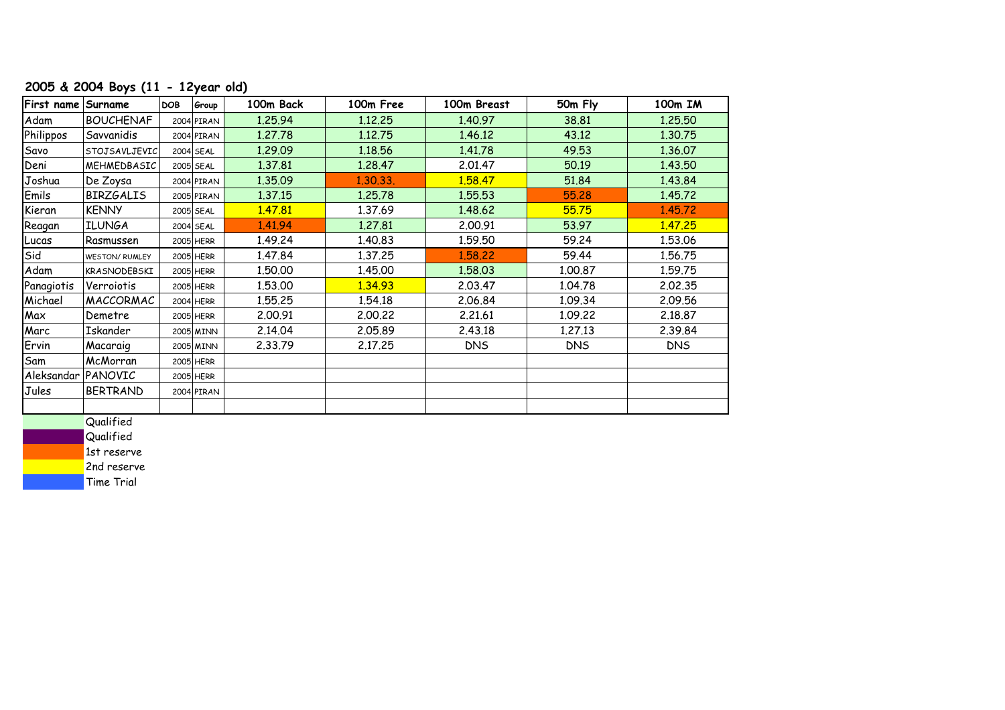## **2005 & 2004 Boys (11 - 12year old)**

| First name | Surname               | <b>DOB</b> | Group      | 100m Back | 100m Free | 100m Breast | 50m Fly    | 100m IM    |
|------------|-----------------------|------------|------------|-----------|-----------|-------------|------------|------------|
| Adam       | <b>BOUCHENAF</b>      |            | 2004 PIRAN | 1.25.94   | 1.12.25   | 1.40.97     | 38.81      | 1.25.50    |
| Philippos  | Savvanidis            |            | 2004 PIRAN | 1.27.78   | 1.12.75   | 1.46.12     | 43.12      | 1.30.75    |
| Savo       | STOJSAVLJEVIC         |            | 2004 SEAL  | 1.29.09   | 1.18.56   | 1.41.78     | 49.53      | 1.36.07    |
| Deni       | MEHMEDBASIC           |            | 2005 SEAL  | 1.37.81   | 1.28.47   | 2.01.47     | 50.19      | 1.43.50    |
| Joshua     | De Zoysa              |            | 2004 PIRAN | 1.35.09   | 1.30.33.  | 1.58.47     | 51.84      | 1.43.84    |
| Emils      | <b>BIRZGALIS</b>      |            | 2005 PIRAN | 1.37.15   | 1.25.78   | 1.55.53     | 55.28      | 1.45.72    |
| Kieran     | <b>KENNY</b>          |            | 2005 SEAL  | 1.47.81   | 1.37.69   | 1.48.62     | 55.75      | 1.45.72    |
| Reagan     | <b>ILUNGA</b>         |            | 2004 SEAL  | 1.41.94   | 1.27.81   | 2.00.91     | 53.97      | 1.47.25    |
| Lucas      | Rasmussen             |            | 2005 HERR  | 1.49.24   | 1.40.83   | 1.59.50     | 59.24      | 1.53.06    |
| Sid        | <b>WESTON/ RUMLEY</b> |            | 2005 HERR  | 1.47.84   | 1.37.25   | 1.58.22     | 59.44      | 1.56.75    |
| Adam       | KRASNODEBSKI          |            | 2005 HERR  | 1.50.00   | 1.45.00   | 1.58.03     | 1.00.87    | 1.59.75    |
| Panagiotis | Verroiotis            |            | 2005 HERR  | 1.53.00   | 1.34.93   | 2.03.47     | 1.04.78    | 2.02.35    |
| Michael    | MACCORMAC             |            | 2004 HERR  | 1.55.25   | 1.54.18   | 2.06.84     | 1.09.34    | 2.09.56    |
| Max        | Demetre               |            | 2005 HERR  | 2.00.91   | 2.00.22   | 2.21.61     | 1.09.22    | 2.18.87    |
| Marc       | Iskander              |            | 2005 MINN  | 2.14.04   | 2.05.89   | 2.43.18     | 1.27.13    | 2.39.84    |
| Ervin      | Macaraig              |            | 2005 MINN  | 2.33.79   | 2.17.25   | <b>DNS</b>  | <b>DNS</b> | <b>DNS</b> |
| Sam        | McMorran              |            | 2005 HERR  |           |           |             |            |            |
| Aleksandar | PANOVIC               |            | 2005 HERR  |           |           |             |            |            |
| Jules      | <b>BERTRAND</b>       |            | 2004 PIRAN |           |           |             |            |            |
|            |                       |            |            |           |           |             |            |            |
|            | $Q_{\text{total}}(t)$ |            |            |           |           |             |            |            |

**Qualified** 

Qualified

1st reserve

2nd reserve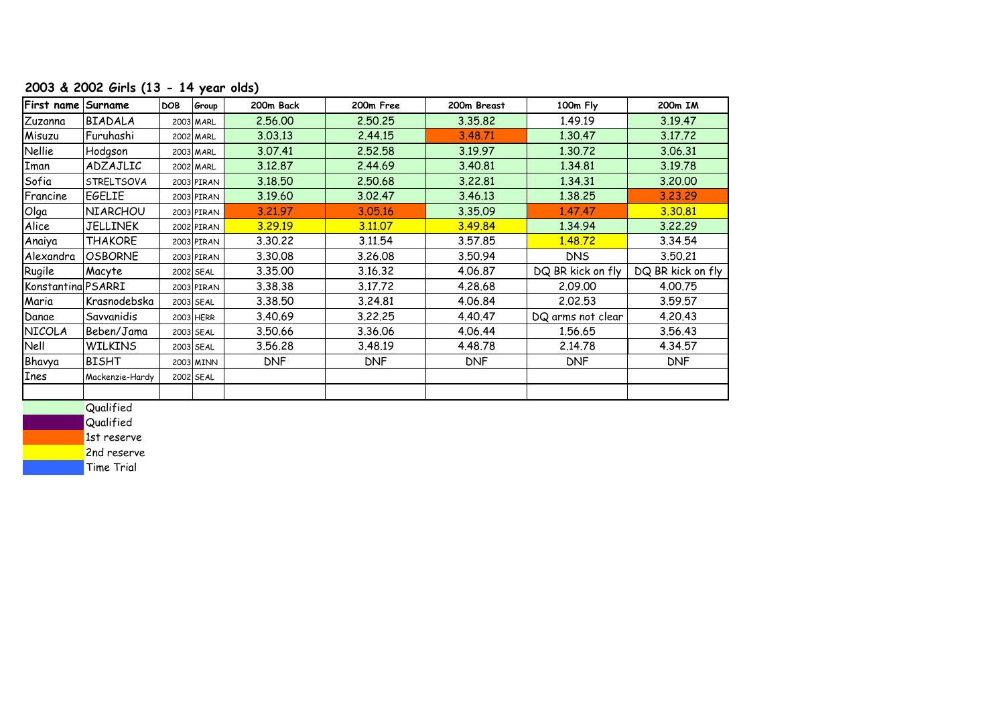## **2003 & 2002 Girls (13 - 14 year olds)**

| First name         | Surname           | <b>DOB</b> | Group      | 200m Back  | 200m Free  | 200m Breast | 100m Fly          | 200m IM           |
|--------------------|-------------------|------------|------------|------------|------------|-------------|-------------------|-------------------|
| Zuzanna            | <b>BIADALA</b>    |            | 2003 MARL  | 2.56.00    | 2.50.25    | 3.35.82     | 1.49.19           | 3.19.47           |
| Misuzu             | Furuhashi         |            | 2002 MARL  | 3.03.13    | 2.44.15    | 3.48.71     | 1.30.47           | 3.17.72           |
| <b>Nellie</b>      | Hodgson           |            | 2003 MARL  | 3.07.41    | 2.52.58    | 3.19.97     | 1.30.72           | 3.06.31           |
| Iman               | ADZAJLIC          |            | 2002 MARL  | 3.12.87    | 2.44.69    | 3.40.81     | 1.34.81           | 3.19.78           |
| Sofia              | <b>STRELTSOVA</b> |            | 2003 PIRAN | 3.18.50    | 2.50.68    | 3.22.81     | 1.34.31           | 3.20.00           |
| Francine           | EGELIE            |            | 2003 PIRAN | 3.19.60    | 3.02.47    | 3.46.13     | 1.38.25           | 3.23.29           |
| Olga               | NIARCHOU          |            | 2003 PIRAN | 3,21,97    | 3.05.16    | 3.35.09     | 1.47.47           | 3.30.81           |
| Alice              | JELLINEK          |            | 2002 PIRAN | 3.29.19    | 3,11,07    | 3.49.84     | 1.34.94           | 3.22.29           |
| Anaiya             | <b>THAKORE</b>    |            | 2003 PIRAN | 3.30.22    | 3.11.54    | 3.57.85     | 1.48.72           | 3.34.54           |
| Alexandra          | <b>OSBORNE</b>    |            | 2003 PIRAN | 3.30.08    | 3.26.08    | 3.50.94     | <b>DNS</b>        | 3.50.21           |
| Rugile             | Macyte            |            | 2002 SEAL  | 3.35.00    | 3.16.32    | 4.06.87     | DQ BR kick on fly | DQ BR kick on fly |
| Konstantina PSARRI |                   |            | 2003 PIRAN | 3.38.38    | 3.17.72    | 4.28.68     | 2.09.00           | 4.00.75           |
| Maria              | Krasnodebska      |            | 2003 SEAL  | 3.38.50    | 3.24.81    | 4.06.84     | 2.02.53           | 3.59.57           |
| Danae              | Savvanidis        |            | 2003 HERR  | 3.40.69    | 3.22.25    | 4.40.47     | DQ arms not clear | 4.20.43           |
| <b>NICOLA</b>      | Beben/Jama        |            | 2003 SEAL  | 3.50.66    | 3.36.06    | 4.06.44     | 1.56.65           | 3.56.43           |
| Nell               | <b>WILKINS</b>    |            | 2003 SEAL  | 3.56.28    | 3.48.19    | 4.48.78     | 2.14.78           | 4.34.57           |
| Bhavya             | BISHT             |            | 2003 MINN  | <b>DNF</b> | <b>DNF</b> | <b>DNF</b>  | <b>DNF</b>        | <b>DNF</b>        |
| <b>Ines</b>        | Mackenzie-Hardy   |            | 2002 SEAL  |            |            |             |                   |                   |
|                    |                   |            |            |            |            |             |                   |                   |

**Qualified** 

**Qualified** 

1st reserve

2nd reserve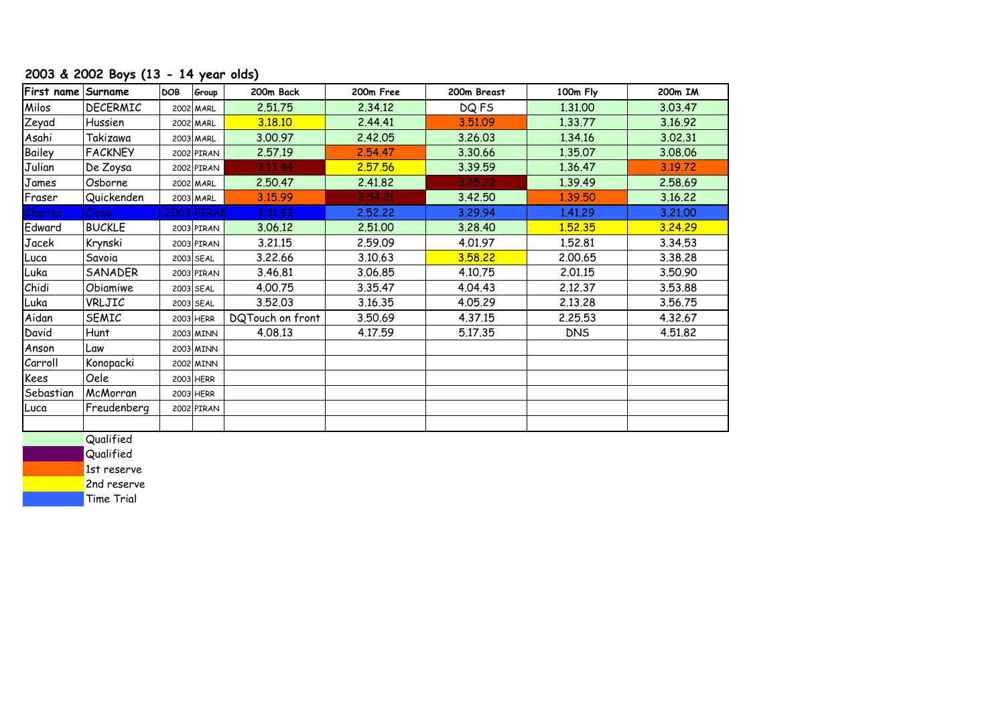## **2003 & 2002 Boys (13 - 14 year olds)**

| First name Surname |                                                        | <b>DOB</b> | Group        | 200m Back        | 200m Free | 200m Breast | 100m Fly   | 200m IM |
|--------------------|--------------------------------------------------------|------------|--------------|------------------|-----------|-------------|------------|---------|
| Milos              | DECERMIC                                               |            | 2002 MARL    | 2.51.75          | 2.34.12   | DQ FS       | 1.31.00    | 3.03.47 |
| Zeyad              | Hussien                                                |            | 2002 MARL    | 3.18.10          | 2.44.41   | 3.51.09     | 1.33.77    | 3.16.92 |
| Asahi              | Takizawa                                               |            | 2003 MARL    | 3.00.97          | 2.42.05   | 3.26.03     | 1.34.16    | 3.02.31 |
| Bailey             | <b>FACKNEY</b>                                         |            | 2002 PIRAN   | 2.57.19          | 2.54.47   | 3.30.66     | 1.35.07    | 3.08.06 |
| Julian             | De Zoysa                                               |            | 2002 PIRAN   | 3.13.44          | 2.57.56   | 3.39.59     | 1.36.47    | 3.19.72 |
| James              | Osborne                                                |            | 2002 MARL    | 2.50.47          | 2.41.82   | 3.45.22     | 1.39.49    | 2.58.69 |
| Fraser             | Quickenden                                             |            | 2003 MARL    | 3.15.99          | 2,54.21   | 3.42.50     | 1.39.50    | 3.16.22 |
| <b>Charles</b>     | Close                                                  |            | $2003$ PIRAN | 3.31.82          | 2.52.22   | 3.29.94     | 1.41.29    | 3.21.00 |
| Edward             | <b>BUCKLE</b>                                          |            | 2003 PIRAN   | 3.06.12          | 2.51.00   | 3.28.40     | 1.52.35    | 3.24.29 |
| Jacek              | Krynski                                                |            | 2003 PIRAN   | 3.21.15          | 2.59.09   | 4.01.97     | 1.52.81    | 3.34.53 |
| Luca               | Savoia                                                 |            | 2003 SEAL    | 3.22.66          | 3.10.63   | 3.58.22     | 2.00.65    | 3.38.28 |
| Luka               | SANADER                                                |            | 2003 PIRAN   | 3.46.81          | 3.06.85   | 4.10.75     | 2.01.15    | 3.50.90 |
| Chidi              | Obiamiwe                                               |            | 2003 SEAL    | 4.00.75          | 3.35.47   | 4.04.43     | 2.12.37    | 3.53.88 |
| Luka               | VRLJIC                                                 |            | 2003 SEAL    | 3.52.03          | 3.16.35   | 4.05.29     | 2.13.28    | 3.56.75 |
| Aidan              | <b>SEMIC</b>                                           |            | 2003 HERR    | DQTouch on front | 3.50.69   | 4.37.15     | 2.25.53    | 4.32.67 |
| David              | Hunt                                                   |            | 2003 MINN    | 4.08.13          | 4.17.59   | 5.17.35     | <b>DNS</b> | 4.51.82 |
| Anson              | Law                                                    |            | 2003 MINN    |                  |           |             |            |         |
| Carroll            | Konopacki                                              |            | 2002 MINN    |                  |           |             |            |         |
| Kees               | Oele                                                   |            | 2003 HERR    |                  |           |             |            |         |
| Sebastian          | McMorran                                               |            | 2003 HERR    |                  |           |             |            |         |
| ILuca              | Freudenberg                                            |            | 2002 PIRAN   |                  |           |             |            |         |
|                    |                                                        |            |              |                  |           |             |            |         |
|                    | $\sim$ $\cdot$ $\cdot$ $\cdot$ $\cdot$ $\cdot$ $\cdot$ |            |              |                  |           |             |            |         |

**Qualified** 

**Qualified** 

1st reserve

2nd reserve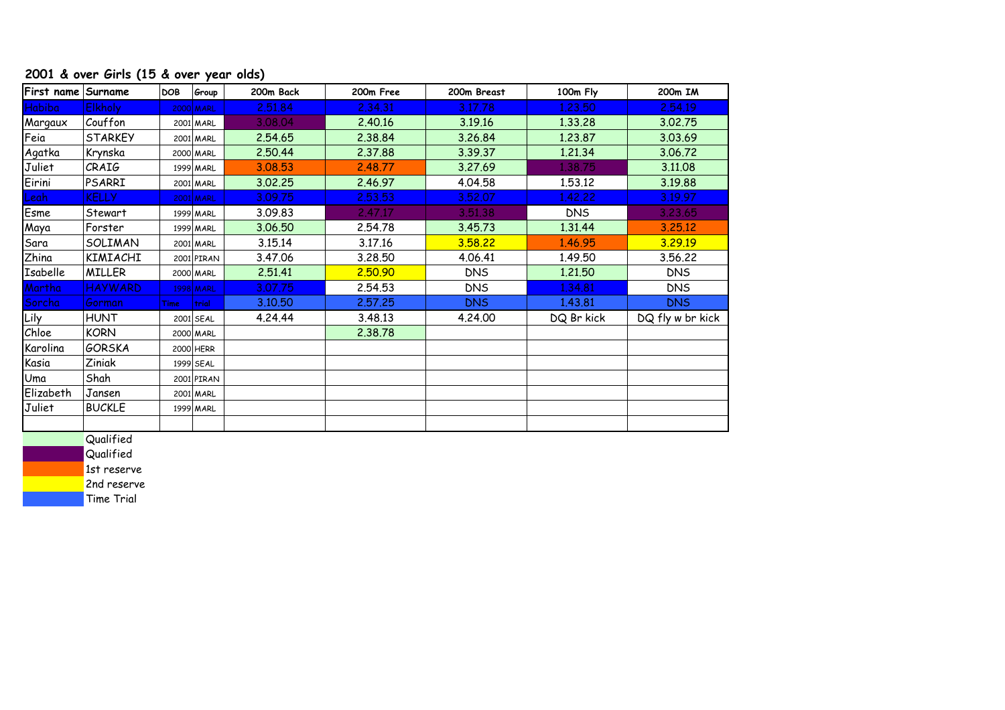#### **2001 & over Girls (15 & over year olds)**

| First name Surname |                  | <b>DOB</b>  | Group            | 200m Back | 200m Free | 200m Breast | 100m Fly   | 200m IM          |
|--------------------|------------------|-------------|------------------|-----------|-----------|-------------|------------|------------------|
| <b>Habiba</b>      | <b>Elkholy</b>   |             | <b>2000 MARL</b> | 2.51.84   | 2.34.31   | 3.17.78     | 1,23,50    | 2.54.19          |
| Margaux            | Couffon          |             | 2001 MARL        | 3.08.04   | 2.40.16   | 3.19.16     | 1.33.28    | 3.02.75          |
| Feia               | <b>STARKEY</b>   |             | 2001 MARL        | 2.54.65   | 2.38.84   | 3.26.84     | 1.23.87    | 3.03.69          |
| Agatka             | Krynska          |             | 2000 MARL        | 2.50.44   | 2.37.88   | 3.39.37     | 1.21.34    | 3.06.72          |
| Juliet             | CRAIG            |             | 1999 MARL        | 3.08.53   | 2.48.77   | 3.27.69     | 1.38.75    | 3.11.08          |
| Eirini             | PSARRI           |             | 2001 MARL        | 3.02.25   | 2.46.97   | 4.04.58     | 1.53.12    | 3.19.88          |
| Leah               | <b>KELLY</b>     |             | 2001 MARL        | 3.09.75   | 2.53.53   | 3.52.07     | 1,42,22    | 3.19.97          |
| Esme               | Stewart          |             | 1999 MARL        | 3.09.83   | 2,47.17   | 3.51.38     | <b>DNS</b> | 3,23,65          |
| Maya               | Forster          |             | 1999 MARL        | 3.06.50   | 2.54.78   | 3.45.73     | 1.31.44    | 3,25,12          |
| Sara               | SOLIMAN          |             | 2001 MARL        | 3.15.14   | 3.17.16   | 3.58.22     | 1.46.95    | 3.29.19          |
| Zhina              | KIMIACHI         |             | 2001 PIRAN       | 3.47.06   | 3.28.50   | 4.06.41     | 1.49.50    | 3.56.22          |
| Isabelle           | <b>MILLER</b>    |             | 2000 MARL        | 2.51.41   | 2,50.90   | <b>DNS</b>  | 1.21.50    | <b>DNS</b>       |
| Martha             | <b>HAYWARD</b>   |             | 1998 MARL        | 3.07.75   | 2.54.53   | <b>DNS</b>  | 1.34.81    | <b>DNS</b>       |
| Sorcha             | Gorman           | <b>Time</b> | trial            | 3.10.50   | 2.57.25   | <b>DNS</b>  | 1.43.81    | <b>DNS</b>       |
| Lily               | HUNT             |             | 2001 SEAL        | 4.24.44   | 3.48.13   | 4.24.00     | DQ Br kick | DQ fly w br kick |
| Chloe              | <b>KORN</b>      |             | 2000 MARL        |           | 2.38.78   |             |            |                  |
| Karolina           | <b>GORSKA</b>    |             | 2000 HERR        |           |           |             |            |                  |
| Kasia              | Ziniak           |             | 1999 SEAL        |           |           |             |            |                  |
| Uma                | Shah             |             | 2001 PIRAN       |           |           |             |            |                  |
| Elizabeth          | Jansen           |             | 2001 MARL        |           |           |             |            |                  |
| Juliet             | <b>BUCKLE</b>    |             | 1999 MARL        |           |           |             |            |                  |
|                    |                  |             |                  |           |           |             |            |                  |
|                    | <b>Ouglified</b> |             |                  |           |           |             |            |                  |

Qualified Qualified

1st reserve

2nd reserve